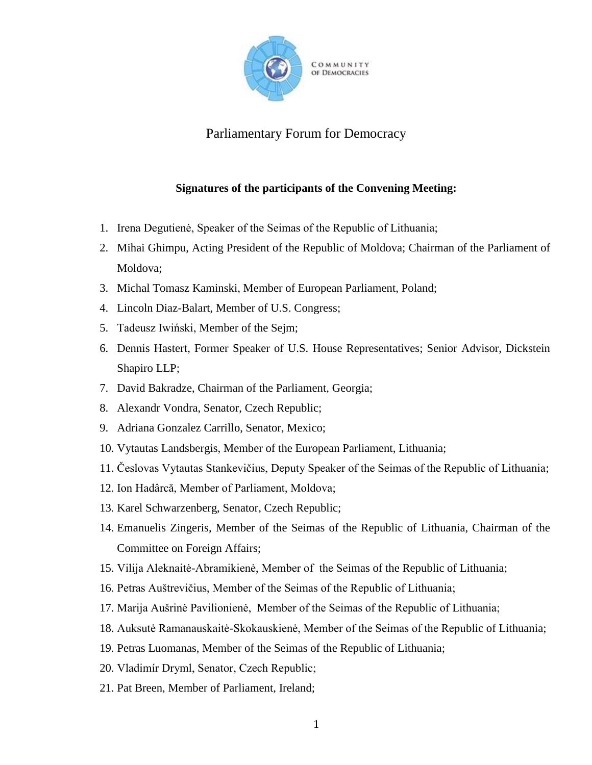

Parliamentary Forum for Democracy

## **Signatures of the participants of the Convening Meeting:**

- 1. Irena Degutienė, Speaker of the Seimas of the Republic of Lithuania;
- 2. Mihai Ghimpu, Acting President of the Republic of Moldova; Chairman of the Parliament of Moldova;
- 3. Michal Tomasz Kaminski, Member of European Parliament, Poland;
- 4. Lincoln Diaz-Balart, Member of U.S. Congress;
- 5. Tadeusz Iwiński, Member of the Sejm;
- 6. Dennis Hastert, Former Speaker of U.S. House Representatives; Senior Advisor, Dickstein Shapiro LLP;
- 7. David Bakradze, Chairman of the Parliament, Georgia;
- 8. Alexandr Vondra, Senator, Czech Republic;
- 9. Adriana Gonzalez Carrillo, Senator, Mexico;
- 10. Vytautas Landsbergis, Member of the European Parliament, Lithuania;
- 11. Česlovas Vytautas Stankevičius, Deputy Speaker of the Seimas of the Republic of Lithuania;
- 12. Ion Hadârcă, Member of Parliament, Moldova;
- 13. Karel Schwarzenberg, Senator, Czech Republic;
- 14. Emanuelis Zingeris, Member of the Seimas of the Republic of Lithuania, Chairman of the Committee on Foreign Affairs;
- 15. Vilija Aleknaitė-Abramikienė, Member of the Seimas of the Republic of Lithuania;
- 16. Petras Auštrevičius, Member of the Seimas of the Republic of Lithuania;
- 17. Marija Aušrinė Pavilionienė, Member of the Seimas of the Republic of Lithuania;
- 18. Auksutė Ramanauskaitė-Skokauskienė, Member of the Seimas of the Republic of Lithuania;
- 19. Petras Luomanas, Member of the Seimas of the Republic of Lithuania;
- 20. Vladimír Dryml, Senator, Czech Republic;
- 21. Pat Breen, Member of Parliament, Ireland;